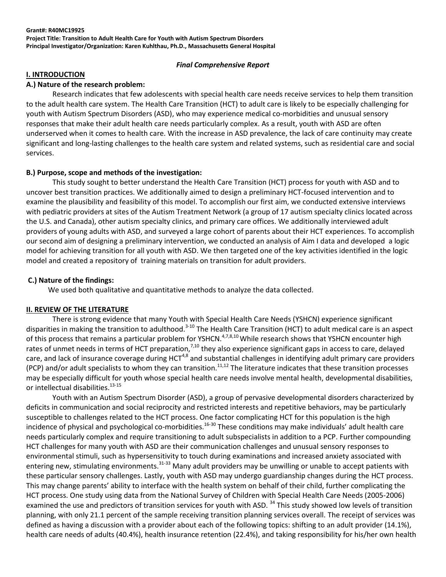#### **Grant#: R40MC19925**

**Project Title: Transition to Adult Health Care for Youth with Autism Spectrum Disorders Principal Investigator/Organization: Karen Kuhlthau, Ph.D., Massachusetts General Hospital**

#### *Final Comprehensive Report*

#### **I. INTRODUCTION**

#### **A.) Nature of the research problem:**

Research indicates that few adolescents with special health care needs receive services to help them transition to the adult health care system. The Health Care Transition (HCT) to adult care is likely to be especially challenging for youth with Autism Spectrum Disorders (ASD), who may experience medical co-morbidities and unusual sensory responses that make their adult health care needs particularly complex. As a result, youth with ASD are often underserved when it comes to health care. With the increase in ASD prevalence, the lack of care continuity may create significant and long-lasting challenges to the health care system and related systems, such as residential care and social services.

### **B.) Purpose, scope and methods of the investigation:**

This study sought to better understand the Health Care Transition (HCT) process for youth with ASD and to uncover best transition practices. We additionally aimed to design a preliminary HCT-focused intervention and to examine the plausibility and feasibility of this model. To accomplish our first aim, we conducted extensive interviews with pediatric providers at sites of the Autism Treatment Network (a group of 17 autism specialty clinics located across the U.S. and Canada), other autism specialty clinics, and primary care offices. We additionally interviewed adult providers of young adults with ASD, and surveyed a large cohort of parents about their HCT experiences. To accomplish our second aim of designing a preliminary intervention, we conducted an analysis of Aim I data and developed a logic model for achieving transition for all youth with ASD. We then targeted one of the key activities identified in the logic model and created a repository of training materials on transition for adult providers.

#### **C.) Nature of the findings:**

We used both qualitative and quantitative methods to analyze the data collected.

#### **II. REVIEW OF THE LITERATURE**

There is strong evidence that many Youth with Special Health Care Needs (YSHCN) experience significant disparities in making the transition to adulthood.3-10 The Health Care Transition (HCT) to adult medical care is an aspect of this process that remains a particular problem for YSHCN.4,7,8,10While research shows that YSHCN encounter high rates of unmet needs in terms of HCT preparation,<sup>7,10</sup> they also experience significant gaps in access to care, delayed care, and lack of insurance coverage during HCT<sup>4,8</sup> and substantial challenges in identifying adult primary care providers (PCP) and/or adult specialists to whom they can transition.<sup>11,12</sup> The literature indicates that these transition processes may be especially difficult for youth whose special health care needs involve mental health, developmental disabilities, or intellectual disabilities. 13-15

Youth with an Autism Spectrum Disorder (ASD), a group of pervasive developmental disorders characterized by deficits in communication and social reciprocity and restricted interests and repetitive behaviors, may be particularly susceptible to challenges related to the HCT process. One factor complicating HCT for this population is the high incidence of physical and psychological co-morbidities.<sup>16-30</sup> These conditions may make individuals' adult health care needs particularly complex and require transitioning to adult subspecialists in addition to a PCP. Further compounding HCT challenges for many youth with ASD are their communication challenges and unusual sensory responses to environmental stimuli, such as hypersensitivity to touch during examinations and increased anxiety associated with entering new, stimulating environments.<sup>31-33</sup> Many adult providers may be unwilling or unable to accept patients with these particular sensory challenges. Lastly, youth with ASD may undergo guardianship changes during the HCT process. This may change parents' ability to interface with the health system on behalf of their child, further complicating the HCT process. One study using data from the National Survey of Children with Special Health Care Needs (2005-2006) examined the use and predictors of transition services for youth with ASD.<sup>34</sup> This study showed low levels of transition planning, with only 21.1 percent of the sample receiving transition planning services overall. The receipt of services was defined as having a discussion with a provider about each of the following topics: shifting to an adult provider (14.1%), health care needs of adults (40.4%), health insurance retention (22.4%), and taking responsibility for his/her own health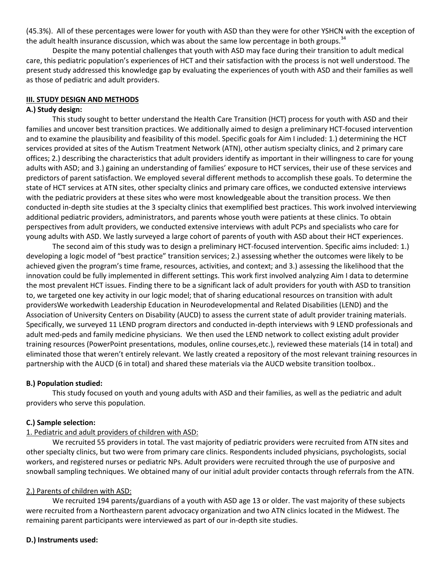(45.3%). All of these percentages were lower for youth with ASD than they were for other YSHCN with the exception of the adult health insurance discussion, which was about the same low percentage in both groups.<sup>34</sup>

Despite the many potential challenges that youth with ASD may face during their transition to adult medical care, this pediatric population's experiences of HCT and their satisfaction with the process is not well understood. The present study addressed this knowledge gap by evaluating the experiences of youth with ASD and their families as well as those of pediatric and adult providers.

#### **III. STUDY DESIGN AND METHODS**

#### **A.) Study design:**

This study sought to better understand the Health Care Transition (HCT) process for youth with ASD and their families and uncover best transition practices. We additionally aimed to design a preliminary HCT-focused intervention and to examine the plausibility and feasibility of this model. Specific goals for Aim I included: 1.) determining the HCT services provided at sites of the Autism Treatment Network (ATN), other autism specialty clinics, and 2 primary care offices; 2.) describing the characteristics that adult providers identify as important in their willingness to care for young adults with ASD; and 3.) gaining an understanding of families' exposure to HCT services, their use of these services and predictors of parent satisfaction. We employed several different methods to accomplish these goals. To determine the state of HCT services at ATN sites, other specialty clinics and primary care offices, we conducted extensive interviews with the pediatric providers at these sites who were most knowledgeable about the transition process. We then conducted in-depth site studies at the 3 specialty clinics that exemplified best practices. This work involved interviewing additional pediatric providers, administrators, and parents whose youth were patients at these clinics. To obtain perspectives from adult providers, we conducted extensive interviews with adult PCPs and specialists who care for young adults with ASD. We lastly surveyed a large cohort of parents of youth with ASD about their HCT experiences.

The second aim of this study was to design a preliminary HCT-focused intervention. Specific aims included: 1.) developing a logic model of "best practice" transition services; 2.) assessing whether the outcomes were likely to be achieved given the program's time frame, resources, activities, and context; and 3.) assessing the likelihood that the innovation could be fully implemented in different settings. This work first involved analyzing Aim I data to determine the most prevalent HCT issues. Finding there to be a significant lack of adult providers for youth with ASD to transition to, we targeted one key activity in our logic model; that of sharing educational resources on transition with adult providersWe workedwith Leadership Education in Neurodevelopmental and Related Disabilities (LEND) and the Association of University Centers on Disability (AUCD) to assess the current state of adult provider training materials. Specifically, we surveyed 11 LEND program directors and conducted in-depth interviews with 9 LEND professionals and adult med-peds and family medicine physicians. We then used the LEND network to collect existing adult provider training resources (PowerPoint presentations, modules, online courses,etc.), reviewed these materials (14 in total) and eliminated those that weren't entirely relevant. We lastly created a repository of the most relevant training resources in partnership with the AUCD (6 in total) and shared these materials via the AUCD website transition toolbox..

### **B.) Population studied:**

This study focused on youth and young adults with ASD and their families, as well as the pediatric and adult providers who serve this population.

### **C.) Sample selection:**

### 1. Pediatric and adult providers of children with ASD:

We recruited 55 providers in total. The vast majority of pediatric providers were recruited from ATN sites and other specialty clinics, but two were from primary care clinics. Respondents included physicians, psychologists, social workers, and registered nurses or pediatric NPs. Adult providers were recruited through the use of purposive and snowball sampling techniques. We obtained many of our initial adult provider contacts through referrals from the ATN.

### 2.) Parents of children with ASD:

We recruited 194 parents/guardians of a youth with ASD age 13 or older. The vast majority of these subjects were recruited from a Northeastern parent advocacy organization and two ATN clinics located in the Midwest. The remaining parent participants were interviewed as part of our in-depth site studies.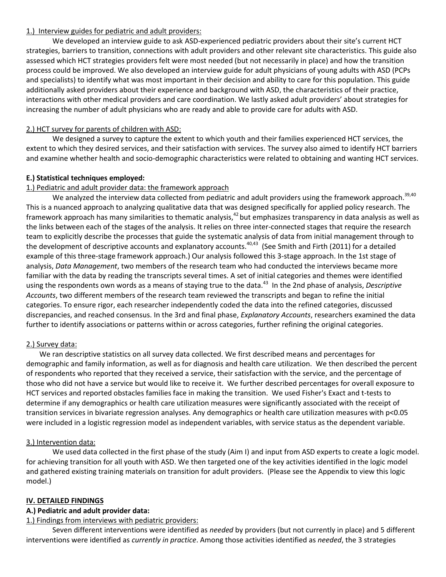### 1.) Interview guides for pediatric and adult providers:

We developed an interview guide to ask ASD-experienced pediatric providers about their site's current HCT strategies, barriers to transition, connections with adult providers and other relevant site characteristics. This guide also assessed which HCT strategies providers felt were most needed (but not necessarily in place) and how the transition process could be improved. We also developed an interview guide for adult physicians of young adults with ASD (PCPs and specialists) to identify what was most important in their decision and ability to care for this population. This guide additionally asked providers about their experience and background with ASD, the characteristics of their practice, interactions with other medical providers and care coordination. We lastly asked adult providers' about strategies for increasing the number of adult physicians who are ready and able to provide care for adults with ASD.

# 2.) HCT survey for parents of children with ASD:

We designed a survey to capture the extent to which youth and their families experienced HCT services, the extent to which they desired services, and their satisfaction with services. The survey also aimed to identify HCT barriers and examine whether health and socio-demographic characteristics were related to obtaining and wanting HCT services.

# **E.) Statistical techniques employed:**

## 1.) Pediatric and adult provider data: the framework approach

We analyzed the interview data collected from pediatric and adult providers using the framework approach.<sup>39,40</sup> This is a nuanced approach to analyzing qualitative data that was designed specifically for applied policy research. The framework approach has many similarities to thematic analysis,<sup>42</sup> but emphasizes transparency in data analysis as well as the links between each of the stages of the analysis. It relies on three inter-connected stages that require the research team to explicitly describe the processes that guide the systematic analysis of data from initial management through to the development of descriptive accounts and explanatory accounts.<sup>40,43</sup> (See Smith and Firth (2011) for a detailed example of this three-stage framework approach.) Our analysis followed this 3-stage approach. In the 1st stage of analysis, *Data Management*, two members of the research team who had conducted the interviews became more familiar with the data by reading the transcripts several times. A set of initial categories and themes were identified using the respondents own words as a means of staying true to the data.<sup>43</sup> In the 2nd phase of analysis, *Descriptive Accounts*, two different members of the research team reviewed the transcripts and began to refine the initial categories. To ensure rigor, each researcher independently coded the data into the refined categories, discussed discrepancies, and reached consensus. In the 3rd and final phase, *Explanatory Accounts*, researchers examined the data further to identify associations or patterns within or across categories, further refining the original categories.

## 2.) Survey data:

We ran descriptive statistics on all survey data collected. We first described means and percentages for demographic and family information, as well as for diagnosis and health care utilization. We then described the percent of respondents who reported that they received a service, their satisfaction with the service, and the percentage of those who did not have a service but would like to receive it. We further described percentages for overall exposure to HCT services and reported obstacles families face in making the transition. We used Fisher's Exact and t-tests to determine if any demographics or health care utilization measures were significantly associated with the receipt of transition services in bivariate regression analyses. Any demographics or health care utilization measures with p<0.05 were included in a logistic regression model as independent variables, with service status as the dependent variable.

## 3.) Intervention data:

We used data collected in the first phase of the study (Aim I) and input from ASD experts to create a logic model. for achieving transition for all youth with ASD. We then targeted one of the key activities identified in the logic model and gathered existing training materials on transition for adult providers. (Please see the Appendix to view this logic model.)

### **IV. DETAILED FINDINGS**

### **A.) Pediatric and adult provider data:**

## 1.) Findings from interviews with pediatric providers:

Seven different interventions were identified as *needed* by providers (but not currently in place) and 5 different interventions were identified as *currently in practice*. Among those activities identified as *needed*, the 3 strategies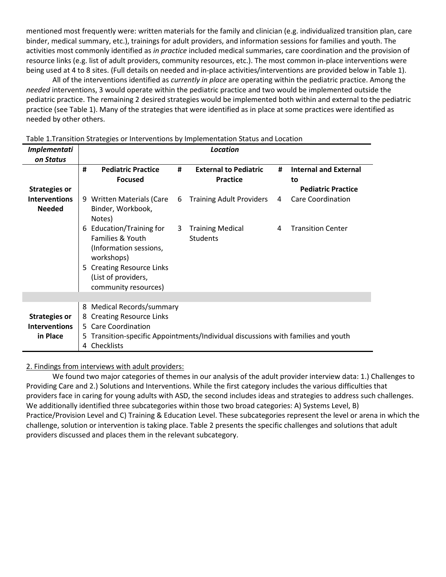mentioned most frequently were: written materials for the family and clinician (e.g. individualized transition plan, care binder, medical summary, etc.), trainings for adult providers, and information sessions for families and youth. The activities most commonly identified as *in practice* included medical summaries, care coordination and the provision of resource links (e.g. list of adult providers, community resources, etc.). The most common in-place interventions were being used at 4 to 8 sites. (Full details on needed and in-place activities/interventions are provided below in Table 1).

All of the interventions identified as *currently in place* are operating within the pediatric practice. Among the *needed* interventions, 3 would operate within the pediatric practice and two would be implemented outside the pediatric practice. The remaining 2 desired strategies would be implemented both within and external to the pediatric practice (see Table 1). Many of the strategies that were identified as in place at some practices were identified as needed by other others.

| <b>Implementati</b>                                      | <b>Location</b>   |                                                                                                                                                                |   |                                                                                 |   |                                    |  |
|----------------------------------------------------------|-------------------|----------------------------------------------------------------------------------------------------------------------------------------------------------------|---|---------------------------------------------------------------------------------|---|------------------------------------|--|
| on Status                                                |                   |                                                                                                                                                                |   |                                                                                 |   |                                    |  |
|                                                          | #                 | <b>Pediatric Practice</b><br><b>Focused</b>                                                                                                                    | # | <b>External to Pediatric</b><br><b>Practice</b>                                 | # | <b>Internal and External</b><br>to |  |
| <b>Strategies or</b>                                     |                   |                                                                                                                                                                |   |                                                                                 |   | <b>Pediatric Practice</b>          |  |
| <b>Interventions</b>                                     |                   | 9 Written Materials (Care                                                                                                                                      | 6 | <b>Training Adult Providers</b>                                                 | 4 | <b>Care Coordination</b>           |  |
| <b>Needed</b>                                            |                   | Binder, Workbook,<br>Notes)                                                                                                                                    |   |                                                                                 |   |                                    |  |
|                                                          | 6                 | Education/Training for<br>Families & Youth<br>(Information sessions,<br>workshops)<br>5 Creating Resource Links<br>(List of providers,<br>community resources) | 3 | <b>Training Medical</b><br><b>Students</b>                                      | 4 | <b>Transition Center</b>           |  |
|                                                          |                   |                                                                                                                                                                |   |                                                                                 |   |                                    |  |
| <b>Strategies or</b><br><b>Interventions</b><br>in Place | 8<br>8<br>5.<br>4 | Medical Records/summary<br><b>Creating Resource Links</b><br>5 Care Coordination<br>Checklists                                                                 |   | Transition-specific Appointments/Individual discussions with families and youth |   |                                    |  |

Table 1.Transition Strategies or Interventions by Implementation Status and Location

### 2. Findings from interviews with adult providers:

We found two major categories of themes in our analysis of the adult provider interview data: 1.) Challenges to Providing Care and 2.) Solutions and Interventions. While the first category includes the various difficulties that providers face in caring for young adults with ASD, the second includes ideas and strategies to address such challenges. We additionally identified three subcategories within those two broad categories: A) Systems Level, B) Practice/Provision Level and C) Training & Education Level. These subcategories represent the level or arena in which the challenge, solution or intervention is taking place. Table 2 presents the specific challenges and solutions that adult providers discussed and places them in the relevant subcategory.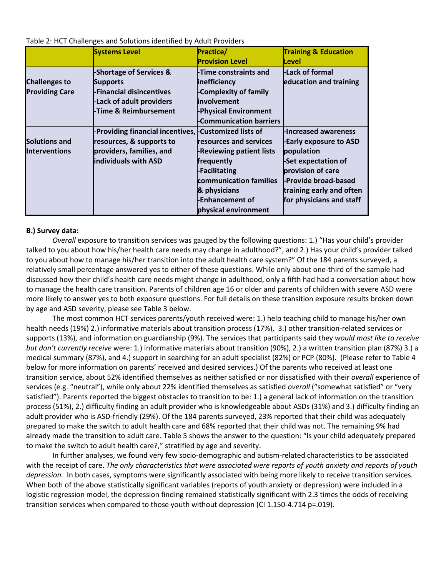|                       | <b>Systems Level</b>                                  | <b>Practice/</b>                | <b>Training &amp; Education</b> |
|-----------------------|-------------------------------------------------------|---------------------------------|---------------------------------|
|                       |                                                       | <b>Provision Level</b>          | Level                           |
|                       | -Shortage of Services &                               | -Time constraints and           | -Lack of formal                 |
| <b>Challenges to</b>  | <b>Supports</b>                                       | inefficiency                    | education and training          |
| <b>Providing Care</b> | -Financial disincentives                              | -Complexity of family           |                                 |
|                       | -Lack of adult providers                              | <i>involvement</i>              |                                 |
|                       | -Time & Reimbursement                                 | <b>-Physical Environment</b>    |                                 |
|                       |                                                       | -Communication barriers         |                                 |
|                       | -Providing financial incentives, -Customized lists of |                                 | <b>-Increased awareness</b>     |
| <b>Solutions and</b>  | resources, & supports to                              | resources and services          | <b>-Early exposure to ASD</b>   |
| <b>Interventions</b>  | providers, families, and                              | <b>-Reviewing patient lists</b> | population                      |

Table 2: HCT Challenges and Solutions identified by Adult Providers

**individuals with ASD** 

#### **B.) Survey data:**

*Overall* exposure to transition services was gauged by the following questions: 1.) "Has your child's provider talked to you about how his/her health care needs may change in adulthood?", and 2.) Has your child's provider talked to you about how to manage his/her transition into the adult health care system?" Of the 184 parents surveyed, a relatively small percentage answered yes to either of these questions. While only about one-third of the sample had discussed how their child's health care needs might change in adulthood, only a fifth had had a conversation about how to manage the health care transition. Parents of children age 16 or older and parents of children with severe ASD were more likely to answer yes to both exposure questions. For full details on these transition exposure results broken down by age and ASD severity, please see Table 3 below.

**frequently -Facilitating** 

**& physicians -Enhancement of physical environment** 

**communication families** 

**-Set expectation of provision of care -Provide broad-based training early and often for physicians and staff** 

The most common HCT services parents/youth received were: 1.) help teaching child to manage his/her own health needs (19%) 2.) informative materials about transition process (17%), 3.) other transition-related services or supports (13%), and information on guardianship (9%). The services that participants said they *would most like to receive but don't currently receive* were: 1.) informative materials about transition (90%), 2.) a written transition plan (87%) 3.) a medical summary (87%), and 4.) support in searching for an adult specialist (82%) or PCP (80%). (Please refer to Table 4 below for more information on parents' received and desired services.) Of the parents who received at least one transition service, about 52% identified themselves as neither satisfied or nor dissatisfied with their *overall* experience of services (e.g. "neutral"), while only about 22% identified themselves as satisfied *overall* ("somewhat satisfied" or "very satisfied"). Parents reported the biggest obstacles to transition to be: 1.) a general lack of information on the transition process (51%), 2.) difficulty finding an adult provider who is knowledgeable about ASDs (31%) and 3.) difficulty finding an adult provider who is ASD-friendly (29%). Of the 184 parents surveyed, 23% reported that their child was adequately prepared to make the switch to adult health care and 68% reported that their child was not. The remaining 9% had already made the transition to adult care. Table 5 shows the answer to the question: "Is your child adequately prepared to make the switch to adult health care?," stratified by age and severity.

In further analyses, we found very few socio-demographic and autism-related characteristics to be associated with the receipt of care. *The only characteristics that were associated were reports of youth anxiety and reports of youth depression.* In both cases, symptoms were significantly associated with being more likely to receive transition services. When both of the above statistically significant variables (reports of youth anxiety or depression) were included in a logistic regression model, the depression finding remained statistically significant with 2.3 times the odds of receiving transition services when compared to those youth without depression (CI 1.150-4.714 p=.019).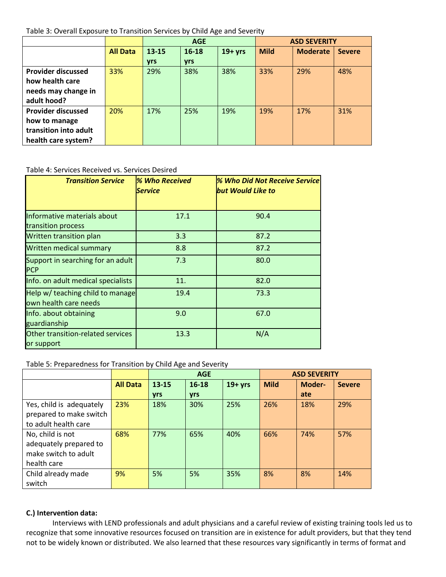Table 3: Overall Exposure to Transition Services by Child Age and Severity

|                           |                 | <b>AGE</b> |            |            | <b>ASD SEVERITY</b> |                 |               |
|---------------------------|-----------------|------------|------------|------------|---------------------|-----------------|---------------|
|                           | <b>All Data</b> | $13 - 15$  | 16-18      | $19 + yrs$ | <b>Mild</b>         | <b>Moderate</b> | <b>Severe</b> |
|                           |                 | <b>yrs</b> | <b>yrs</b> |            |                     |                 |               |
| <b>Provider discussed</b> | 33%             | 29%        | 38%        | 38%        | 33%                 | 29%             | 48%           |
| how health care           |                 |            |            |            |                     |                 |               |
| needs may change in       |                 |            |            |            |                     |                 |               |
| adult hood?               |                 |            |            |            |                     |                 |               |
| <b>Provider discussed</b> | 20%             | 17%        | 25%        | 19%        | 19%                 | 17%             | 31%           |
| how to manage             |                 |            |            |            |                     |                 |               |
| transition into adult     |                 |            |            |            |                     |                 |               |
| health care system?       |                 |            |            |            |                     |                 |               |

### Table 4: Services Received vs. Services Desired

| <b>Transition Service</b>                                 | % Who Received<br><b>Service</b> | <b>% Who Did Not Receive Service</b><br><b>but Would Like to</b> |
|-----------------------------------------------------------|----------------------------------|------------------------------------------------------------------|
| Informative materials about<br>transition process         | 17.1                             | 90.4                                                             |
| Written transition plan                                   | 3.3                              | 87.2                                                             |
| Written medical summary                                   | 8.8                              | 87.2                                                             |
| Support in searching for an adult<br><b>PCP</b>           | 7.3                              | 80.0                                                             |
| Info. on adult medical specialists                        | 11.                              | 82.0                                                             |
| Help w/ teaching child to manage<br>own health care needs | 19.4                             | 73.3                                                             |
| Info. about obtaining<br>guardianship                     | 9.0                              | 67.0                                                             |
| Other transition-related services<br>or support           | 13.3                             | N/A                                                              |

### Table 5: Preparedness for Transition by Child Age and Severity

|                          |                 | <b>AGE</b> |            |            | <b>ASD SEVERITY</b> |        |               |
|--------------------------|-----------------|------------|------------|------------|---------------------|--------|---------------|
|                          | <b>All Data</b> | $13 - 15$  | $16 - 18$  | $19 + yrs$ | <b>Mild</b>         | Moder- | <b>Severe</b> |
|                          |                 | <b>vrs</b> | <b>yrs</b> |            |                     | ate    |               |
| Yes, child is adequately | 23%             | 18%        | 30%        | 25%        | 26%                 | 18%    | 29%           |
| prepared to make switch  |                 |            |            |            |                     |        |               |
| to adult health care     |                 |            |            |            |                     |        |               |
| No, child is not         | 68%             | 77%        | 65%        | 40%        | 66%                 | 74%    | 57%           |
| adequately prepared to   |                 |            |            |            |                     |        |               |
| make switch to adult     |                 |            |            |            |                     |        |               |
| health care              |                 |            |            |            |                     |        |               |
| Child already made       | 9%              | 5%         | 5%         | 35%        | 8%                  | 8%     | 14%           |
| switch                   |                 |            |            |            |                     |        |               |

## **C.) Intervention data:**

Interviews with LEND professionals and adult physicians and a careful review of existing training tools led us to recognize that some innovative resources focused on transition are in existence for adult providers, but that they tend not to be widely known or distributed. We also learned that these resources vary significantly in terms of format and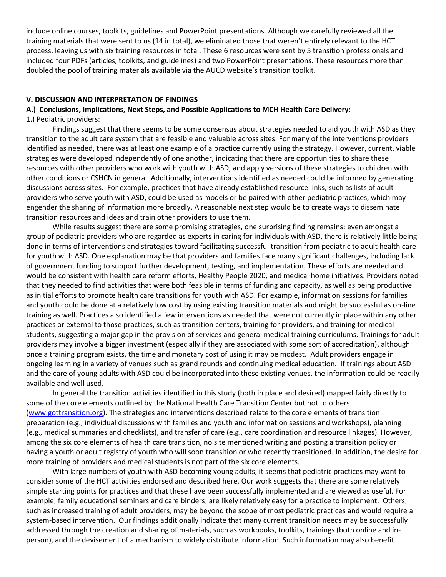include online courses, toolkits, guidelines and PowerPoint presentations. Although we carefully reviewed all the training materials that were sent to us (14 in total), we eliminated those that weren't entirely relevant to the HCT process, leaving us with six training resources in total. These 6 resources were sent by 5 transition professionals and included four PDFs (articles, toolkits, and guidelines) and two PowerPoint presentations. These resources more than doubled the pool of training materials available via the AUCD website's transition toolkit.

### **V. DISCUSSION AND INTERPRETATION OF FINDINGS**

### **A.) Conclusions, Implications, Next Steps, and Possible Applications to MCH Health Care Delivery:** 1.) Pediatric providers:

Findings suggest that there seems to be some consensus about strategies needed to aid youth with ASD as they transition to the adult care system that are feasible and valuable across sites. For many of the interventions providers identified as needed, there was at least one example of a practice currently using the strategy. However, current, viable strategies were developed independently of one another, indicating that there are opportunities to share these resources with other providers who work with youth with ASD, and apply versions of these strategies to children with other conditions or CSHCN in general. Additionally, interventions identified as needed could be informed by generating discussions across sites. For example, practices that have already established resource links, such as lists of adult providers who serve youth with ASD, could be used as models or be paired with other pediatric practices, which may engender the sharing of information more broadly. A reasonable next step would be to create ways to disseminate transition resources and ideas and train other providers to use them.

While results suggest there are some promising strategies, one surprising finding remains; even amongst a group of pediatric providers who are regarded as experts in caring for individuals with ASD, there is relatively little being done in terms of interventions and strategies toward facilitating successful transition from pediatric to adult health care for youth with ASD. One explanation may be that providers and families face many significant challenges, including lack of government funding to support further development, testing, and implementation. These efforts are needed and would be consistent with health care reform efforts, Healthy People 2020, and medical home initiatives. Providers noted that they needed to find activities that were both feasible in terms of funding and capacity, as well as being productive as initial efforts to promote health care transitions for youth with ASD. For example, information sessions for families and youth could be done at a relatively low cost by using existing transition materials and might be successful as on-line training as well. Practices also identified a few interventions as needed that were not currently in place within any other practices or external to those practices, such as transition centers, training for providers, and training for medical students, suggesting a major gap in the provision of services and general medical training curriculums. Trainings for adult providers may involve a bigger investment (especially if they are associated with some sort of accreditation), although once a training program exists, the time and monetary cost of using it may be modest. Adult providers engage in ongoing learning in a variety of venues such as grand rounds and continuing medical education. If trainings about ASD and the care of young adults with ASD could be incorporated into these existing venues, the information could be readily available and well used.

In general the transition activities identified in this study (both in place and desired) mapped fairly directly to some of the core elements outlined by the National Health Care Transition Center but not to others [\(www.gottransition.org\)](http://www.gottransition.org/). The strategies and interventions described relate to the core elements of transition preparation (e.g., individual discussions with families and youth and information sessions and workshops), planning (e.g., medical summaries and checklists), and transfer of care (e.g., care coordination and resource linkages). However, among the six core elements of health care transition, no site mentioned writing and posting a transition policy or having a youth or adult registry of youth who will soon transition or who recently transitioned. In addition, the desire for more training of providers and medical students is not part of the six core elements.

With large numbers of youth with ASD becoming young adults, it seems that pediatric practices may want to consider some of the HCT activities endorsed and described here. Our work suggests that there are some relatively simple starting points for practices and that these have been successfully implemented and are viewed as useful. For example, family educational seminars and care binders, are likely relatively easy for a practice to implement. Others, such as increased training of adult providers, may be beyond the scope of most pediatric practices and would require a system-based intervention. Our findings additionally indicate that many current transition needs may be successfully addressed through the creation and sharing of materials, such as workbooks, toolkits, trainings (both online and inperson), and the devisement of a mechanism to widely distribute information. Such information may also benefit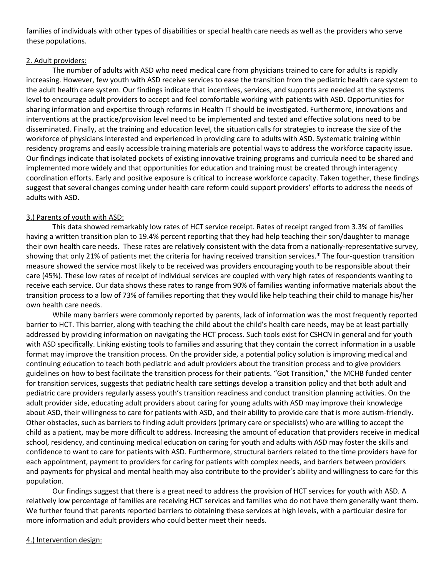families of individuals with other types of disabilities or special health care needs as well as the providers who serve these populations.

### 2. Adult providers:

The number of adults with ASD who need medical care from physicians trained to care for adults is rapidly increasing. However, few youth with ASD receive services to ease the transition from the pediatric health care system to the adult health care system. Our findings indicate that incentives, services, and supports are needed at the systems level to encourage adult providers to accept and feel comfortable working with patients with ASD. Opportunities for sharing information and expertise through reforms in Health IT should be investigated. Furthermore, innovations and interventions at the practice/provision level need to be implemented and tested and effective solutions need to be disseminated. Finally, at the training and education level, the situation calls for strategies to increase the size of the workforce of physicians interested and experienced in providing care to adults with ASD. Systematic training within residency programs and easily accessible training materials are potential ways to address the workforce capacity issue. Our findings indicate that isolated pockets of existing innovative training programs and curricula need to be shared and implemented more widely and that opportunities for education and training must be created through interagency coordination efforts. Early and positive exposure is critical to increase workforce capacity. Taken together, these findings suggest that several changes coming under health care reform could support providers' efforts to address the needs of adults with ASD.

## 3.) Parents of youth with ASD:

This data showed remarkably low rates of HCT service receipt. Rates of receipt ranged from 3.3% of families having a written transition plan to 19.4% percent reporting that they had help teaching their son/daughter to manage their own health care needs. These rates are relatively consistent with the data from a nationally-representative survey, showing that only 21% of patients met the criteria for having received transition services.\* The four-question transition measure showed the service most likely to be received was providers encouraging youth to be responsible about their care (45%). These low rates of receipt of individual services are coupled with very high rates of respondents wanting to receive each service. Our data shows these rates to range from 90% of families wanting informative materials about the transition process to a low of 73% of families reporting that they would like help teaching their child to manage his/her own health care needs.

While many barriers were commonly reported by parents, lack of information was the most frequently reported barrier to HCT. This barrier, along with teaching the child about the child's health care needs, may be at least partially addressed by providing information on navigating the HCT process. Such tools exist for CSHCN in general and for youth with ASD specifically. Linking existing tools to families and assuring that they contain the correct information in a usable format may improve the transition process. On the provider side, a potential policy solution is improving medical and continuing education to teach both pediatric and adult providers about the transition process and to give providers guidelines on how to best facilitate the transition process for their patients. "Got Transition," the MCHB funded center for transition services, suggests that pediatric health care settings develop a transition policy and that both adult and pediatric care providers regularly assess youth's transition readiness and conduct transition planning activities. On the adult provider side, educating adult providers about caring for young adults with ASD may improve their knowledge about ASD, their willingness to care for patients with ASD, and their ability to provide care that is more autism-friendly. Other obstacles, such as barriers to finding adult providers (primary care or specialists) who are willing to accept the child as a patient, may be more difficult to address. Increasing the amount of education that providers receive in medical school, residency, and continuing medical education on caring for youth and adults with ASD may foster the skills and confidence to want to care for patients with ASD. Furthermore, structural barriers related to the time providers have for each appointment, payment to providers for caring for patients with complex needs, and barriers between providers and payments for physical and mental health may also contribute to the provider's ability and willingness to care for this population.

Our findings suggest that there is a great need to address the provision of HCT services for youth with ASD. A relatively low percentage of families are receiving HCT services and families who do not have them generally want them. We further found that parents reported barriers to obtaining these services at high levels, with a particular desire for more information and adult providers who could better meet their needs.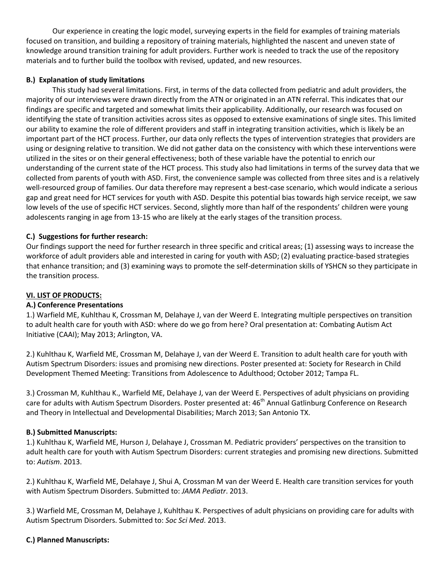Our experience in creating the logic model, surveying experts in the field for examples of training materials focused on transition, and building a repository of training materials, highlighted the nascent and uneven state of knowledge around transition training for adult providers. Further work is needed to track the use of the repository materials and to further build the toolbox with revised, updated, and new resources.

## **B.) Explanation of study limitations**

This study had several limitations. First, in terms of the data collected from pediatric and adult providers, the majority of our interviews were drawn directly from the ATN or originated in an ATN referral. This indicates that our findings are specific and targeted and somewhat limits their applicability. Additionally, our research was focused on identifying the state of transition activities across sites as opposed to extensive examinations of single sites. This limited our ability to examine the role of different providers and staff in integrating transition activities, which is likely be an important part of the HCT process. Further, our data only reflects the types of intervention strategies that providers are using or designing relative to transition. We did not gather data on the consistency with which these interventions were utilized in the sites or on their general effectiveness; both of these variable have the potential to enrich our understanding of the current state of the HCT process. This study also had limitations in terms of the survey data that we collected from parents of youth with ASD. First, the convenience sample was collected from three sites and is a relatively well-resourced group of families. Our data therefore may represent a best-case scenario, which would indicate a serious gap and great need for HCT services for youth with ASD. Despite this potential bias towards high service receipt, we saw low levels of the use of specific HCT services. Second, slightly more than half of the respondents' children were young adolescents ranging in age from 13-15 who are likely at the early stages of the transition process.

### **C.) Suggestions for further research:**

Our findings support the need for further research in three specific and critical areas; (1) assessing ways to increase the workforce of adult providers able and interested in caring for youth with ASD; (2) evaluating practice-based strategies that enhance transition; and (3) examining ways to promote the self-determination skills of YSHCN so they participate in the transition process.

### **VI. LIST OF PRODUCTS:**

## **A.) Conference Presentations**

1.) Warfield ME, Kuhlthau K, Crossman M, Delahaye J, van der Weerd E. Integrating multiple perspectives on transition to adult health care for youth with ASD: where do we go from here? Oral presentation at: Combating Autism Act Initiative (CAAI); May 2013; Arlington, VA.

2.) Kuhlthau K, Warfield ME, Crossman M, Delahaye J, van der Weerd E. Transition to adult health care for youth with Autism Spectrum Disorders: issues and promising new directions. Poster presented at: Society for Research in Child Development Themed Meeting: Transitions from Adolescence to Adulthood; October 2012; Tampa FL.

3.) Crossman M, Kuhlthau K., Warfield ME, Delahaye J, van der Weerd E. Perspectives of adult physicians on providing care for adults with Autism Spectrum Disorders. Poster presented at: 46<sup>th</sup> Annual Gatlinburg Conference on Research and Theory in Intellectual and Developmental Disabilities; March 2013; San Antonio TX.

### **B.) Submitted Manuscripts:**

1.) Kuhlthau K, Warfield ME, Hurson J, Delahaye J, Crossman M. Pediatric providers' perspectives on the transition to adult health care for youth with Autism Spectrum Disorders: current strategies and promising new directions. Submitted to: *Autism*. 2013.

2.) Kuhlthau K, Warfield ME, Delahaye J, Shui A, Crossman M van der Weerd E. Health care transition services for youth with Autism Spectrum Disorders. Submitted to: *JAMA Pediatr*. 2013.

3.) Warfield ME, Crossman M, Delahaye J, Kuhlthau K. Perspectives of adult physicians on providing care for adults with Autism Spectrum Disorders. Submitted to: *Soc Sci Med*. 2013.

## **C.) Planned Manuscripts:**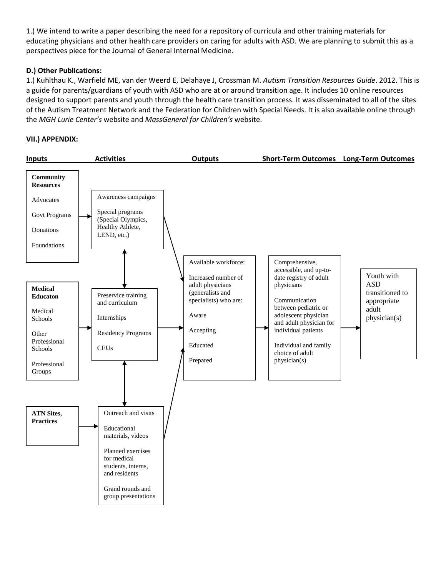1.) We intend to write a paper describing the need for a repository of curricula and other training materials for educating physicians and other health care providers on caring for adults with ASD. We are planning to submit this as a perspectives piece for the Journal of General Internal Medicine.

## **D.) Other Publications:**

1.) Kuhlthau K., Warfield ME, van der Weerd E, Delahaye J, Crossman M. *Autism Transition Resources Guide*. 2012. This is a guide for parents/guardians of youth with ASD who are at or around transition age. It includes 10 online resources designed to support parents and youth through the health care transition process. It was disseminated to all of the sites of the Autism Treatment Network and the Federation for Children with Special Needs. It is also available online through the *MGH Lurie Center's* website and *MassGeneral for Children's* website.

## **VII.) APPENDIX:**

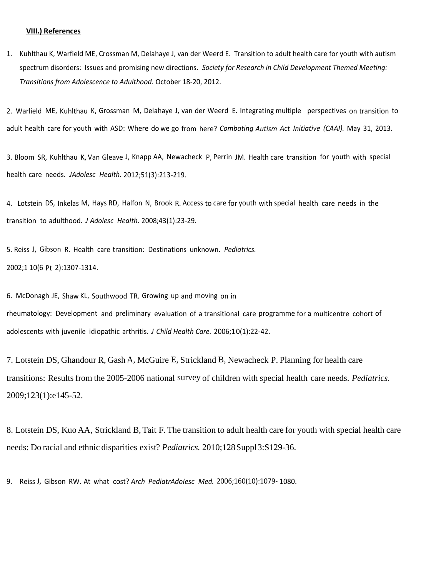#### **VIII.) References**

1. Kuhlthau K, Warfield ME, Crossman M, Delahaye J, van der Weerd E. Transition to adult health care for youth with autism spectrum disorders: Issues and promising new directions. *Society for Research in Child Development Themed Meeting: Transitions from Adolescence to Adulthood.* October 18-20, 2012.

2. Warlield ME, Kuhlthau K, Grossman M, Delahaye J, van der Weerd E. Integrating multiple perspectives on transition to adult health care for youth with ASD: Where do we go from here? *Combating Autism Act Initiative (CAAI).* May 31, 2013.

3. Bloom SR, Kuhlthau K, Van Gleave J, Knapp AA, Newacheck P, Perrin JM. Health care transition for youth with special health care needs. *JAdolesc Health.* 2012;51(3):213-219.

4. Lotstein DS, Inkelas M, Hays RD, Halfon N, Brook R. Access to care for youth with special health care needs in the transition to adulthood. *J Adolesc Health.* 2008;43(1):23-29.

5. Reiss J, Gibson R. Health care transition: Destinations unknown. *Pediatrics.* 2002;1 10(6 Pt 2):1307-1314.

6. McDonagh JE, Shaw KL, Southwood TR. Growing up and moving on in rheumatology: Development and preliminary evaluation of a transitional care programme for a multicentre cohort of adolescents with juvenile idiopathic arthritis. *J Child Health Care.* 2006;10(1):22-42.

7. Lotstein DS, Ghandour R, Gash A, McGuire E, Strickland B, Newacheck P. Planning for health care transitions: Resultsfrom the 2005-2006 national survey of children with special health care needs. *Pediatrics.* 2009;123(1):e145-52.

8. Lotstein DS, Kuo AA, Strickland B, Tait F. The transition to adult health care for youth with special health care needs: Do racial and ethnic disparities exist? *Pediatrics.* 2010;128Suppl3:S129-36.

9. Reiss J, Gibson RW. At what cost? *Arch PediatrAdoIesc Med.* 2006;160(10):1079- 1080.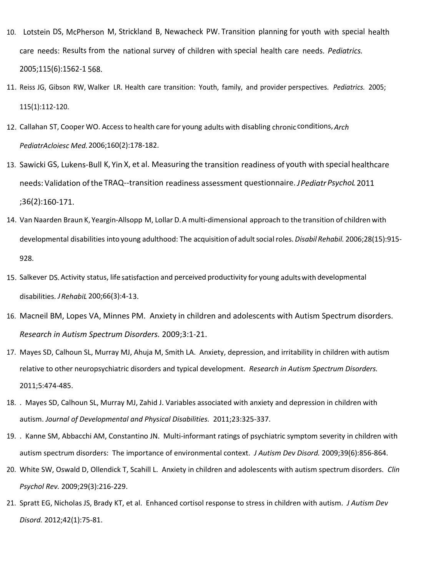- 10. Lotstein DS, McPherson M, Strickland B, Newacheck PW. Transition planning for youth with special health care needs: Results from the national survey of children with special health care needs. *Pediatrics.* 2005;115(6):1562-1 568.
- 11. Reiss JG, Gibson RW, Walker LR. Health care transition: Youth, family, and provider perspectives. *Pediatrics.* 2005; 115(1):112-120.
- 12. Callahan ST, Cooper WO. Access to health care for young adults with disabling chronic conditions,*Arch PediatrAcloiesc Med.*2006;160(2):178-182.
- 13. Sawicki GS, Lukens-Bull K, Yin X, et al. Measuring the transition readiness of youth with special healthcare needs: Validation ofthe TRAQ--transition readiness assessment questionnaire.*JPediatrPsychoL* 2011 ;36(2):160-171.
- 14. Van Naarden Braun K, Yeargin-Allsopp M, Lollar D.A multi-dimensional approach to the transition of children with developmental disabilities into young adulthood: The acquisition of adultsocialroles. *Disabil Rehabil.* 2006;28(15):915- 928.
- 15. Salkever DS.Activity status, life satisfaction and perceived productivity for young adultswith developmental disabilities. *JRehabiL* 200;66(3):4-13.
- 16. Macneil BM, Lopes VA, Minnes PM. Anxiety in children and adolescents with Autism Spectrum disorders. *Research in Autism Spectrum Disorders.* 2009;3:1-21.
- 17. Mayes SD, Calhoun SL, Murray MJ, Ahuja M, Smith LA. Anxiety, depression, and irritability in children with autism relative to other neuropsychiatric disorders and typical development. *Research in Autism Spectrum Disorders.*  2011;5:474-485.
- 18. . Mayes SD, Calhoun SL, Murray MJ, Zahid J. Variables associated with anxiety and depression in children with autism. *Journal of Developmental and Physical Disabilities.* 2011;23:325-337.
- 19. . Kanne SM, Abbacchi AM, Constantino JN. Multi-informant ratings of psychiatric symptom severity in children with autism spectrum disorders: The importance of environmental context. *J Autism Dev Disord.* 2009;39(6):856-864.
- 20. White SW, Oswald D, Ollendick T, Scahill L. Anxiety in children and adolescents with autism spectrum disorders. *Clin Psychol Rev.* 2009;29(3):216-229.
- 21. Spratt EG, Nicholas JS, Brady KT, et al. Enhanced cortisol response to stress in children with autism. *J Autism Dev Disord.* 2012;42(1):75-81.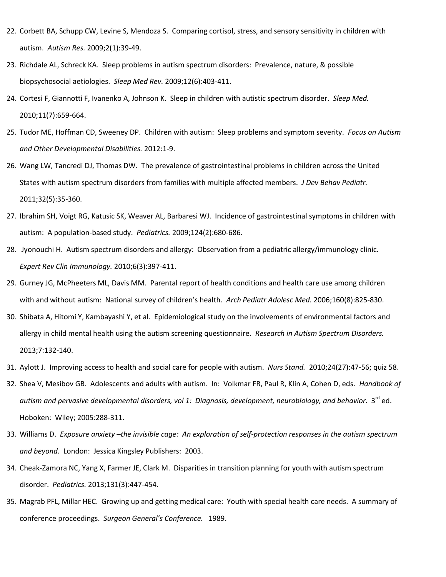- 22. Corbett BA, Schupp CW, Levine S, Mendoza S. Comparing cortisol, stress, and sensory sensitivity in children with autism. *Autism Res.* 2009;2(1):39-49.
- 23. Richdale AL, Schreck KA. Sleep problems in autism spectrum disorders: Prevalence, nature, & possible biopsychosocial aetiologies. *Sleep Med Rev.* 2009;12(6):403-411.
- 24. Cortesi F, Giannotti F, Ivanenko A, Johnson K. Sleep in children with autistic spectrum disorder. *Sleep Med.*  2010;11(7):659-664.
- 25. Tudor ME, Hoffman CD, Sweeney DP. Children with autism: Sleep problems and symptom severity. *Focus on Autism and Other Developmental Disabilities.* 2012:1-9.
- 26. Wang LW, Tancredi DJ, Thomas DW. The prevalence of gastrointestinal problems in children across the United States with autism spectrum disorders from families with multiple affected members. *J Dev Behav Pediatr.*  2011;32(5):35-360.
- 27. Ibrahim SH, Voigt RG, Katusic SK, Weaver AL, Barbaresi WJ. Incidence of gastrointestinal symptoms in children with autism: A population-based study. *Pediatrics.* 2009;124(2):680-686.
- 28. Jyonouchi H. Autism spectrum disorders and allergy: Observation from a pediatric allergy/immunology clinic. *Expert Rev Clin Immunology.* 2010;6(3):397-411.
- 29. Gurney JG, McPheeters ML, Davis MM. Parental report of health conditions and health care use among children with and without autism: National survey of children's health. *Arch Pediatr Adolesc Med.* 2006;160(8):825-830.
- 30. Shibata A, Hitomi Y, Kambayashi Y, et al. Epidemiological study on the involvements of environmental factors and allergy in child mental health using the autism screening questionnaire. *Research in Autism Spectrum Disorders.*  2013;7:132-140.
- 31. Aylott J. Improving access to health and social care for people with autism. *Nurs Stand.* 2010;24(27):47-56; quiz 58.
- 32. Shea V, Mesibov GB. Adolescents and adults with autism. In: Volkmar FR, Paul R, Klin A, Cohen D, eds. *Handbook of*  autism and pervasive developmental disorders, vol 1: Diagnosis, development, neurobiology, and behavior. 3<sup>rd</sup> ed. Hoboken: Wiley; 2005:288-311.
- 33. Williams D. *Exposure anxiety –the invisible cage: An exploration of self-protection responses in the autism spectrum and beyond.* London: Jessica Kingsley Publishers: 2003.
- 34. Cheak-Zamora NC, Yang X, Farmer JE, Clark M. Disparities in transition planning for youth with autism spectrum disorder. *Pediatrics.* 2013;131(3):447-454.
- 35. Magrab PFL, Millar HEC. Growing up and getting medical care: Youth with special health care needs. A summary of conference proceedings. *Surgeon General's Conference.* 1989.